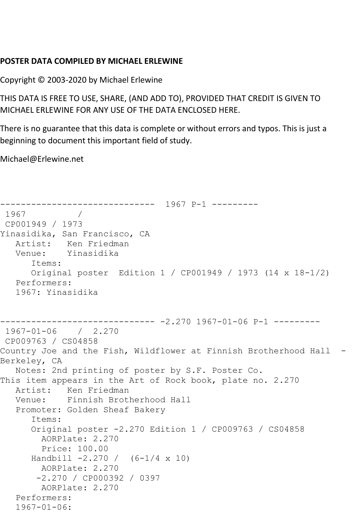## **POSTER DATA COMPILED BY MICHAEL ERLEWINE**

Copyright © 2003-2020 by Michael Erlewine

THIS DATA IS FREE TO USE, SHARE, (AND ADD TO), PROVIDED THAT CREDIT IS GIVEN TO MICHAEL ERLEWINE FOR ANY USE OF THE DATA ENCLOSED HERE.

There is no guarantee that this data is complete or without errors and typos. This is just a beginning to document this important field of study.

Michael@Erlewine.net

```
------------------------------ 1967 P-1 ---------
1967 / 
CP001949 / 1973
Yinasidika, San Francisco, CA
   Artist: Ken Friedman
   Venue: Yinasidika
       Items:
      Original poster Edition 1 / CP001949 / 1973 (14 x 18-1/2)
   Performers:
   1967: Yinasidika
                       ------------------------------ -2.270 1967-01-06 P-1 ---------
1967-01-06 / 2.270
CP009763 / CS04858
Country Joe and the Fish, Wildflower at Finnish Brotherhood Hall -
Berkeley, CA
   Notes: 2nd printing of poster by S.F. Poster Co.
This item appears in the Art of Rock book, plate no. 2.270
   Artist: Ken Friedman
   Venue: Finnish Brotherhood Hall
   Promoter: Golden Sheaf Bakery
       Items:
       Original poster -2.270 Edition 1 / CP009763 / CS04858
        AORPlate: 2.270 
         Price: 100.00
      Handbill -2.270 / (6-1/4 x 10)
        AORPlate: 2.270 
        -2.270 / CP000392 / 0397
        AORPlate: 2.270 
   Performers:
   1967-01-06:
```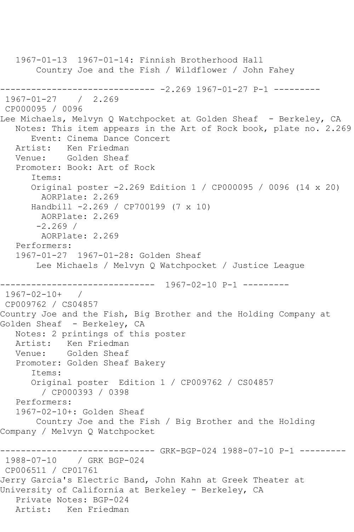1967-01-13 1967-01-14: Finnish Brotherhood Hall Country Joe and the Fish / Wildflower / John Fahey ------------------------------ -2.269 1967-01-27 P-1 --------- 1967-01-27 / 2.269 CP000095 / 0096 Lee Michaels, Melvyn Q Watchpocket at Golden Sheaf - Berkeley, CA Notes: This item appears in the Art of Rock book, plate no. 2.269 Event: Cinema Dance Concert Artist: Ken Friedman Venue: Golden Sheaf Promoter: Book: Art of Rock Items: Original poster -2.269 Edition 1 / CP000095 / 0096 (14 x 20) AORPlate: 2.269 Handbill -2.269 / CP700199 (7 x 10) AORPlate: 2.269  $-2.269/$  AORPlate: 2.269 Performers: 1967-01-27 1967-01-28: Golden Sheaf Lee Michaels / Melvyn Q Watchpocket / Justice League ------------------------------ 1967-02-10 P-1 --------- 1967-02-10+ / CP009762 / CS04857 Country Joe and the Fish, Big Brother and the Holding Company at Golden Sheaf - Berkeley, CA Notes: 2 printings of this poster Artist: Ken Friedman Venue: Golden Sheaf Promoter: Golden Sheaf Bakery Items: Original poster Edition 1 / CP009762 / CS04857 / CP000393 / 0398 Performers: 1967-02-10+: Golden Sheaf Country Joe and the Fish / Big Brother and the Holding Company / Melvyn Q Watchpocket ------------------------------ GRK-BGP-024 1988-07-10 P-1 --------- 1988-07-10 / GRK BGP-024 CP006511 / CP01761 Jerry Garcia's Electric Band, John Kahn at Greek Theater at University of California at Berkeley - Berkeley, CA Private Notes: BGP-024 Artist: Ken Friedman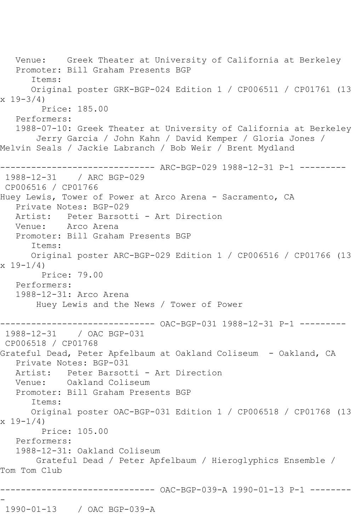Venue: Greek Theater at University of California at Berkeley Promoter: Bill Graham Presents BGP Items: Original poster GRK-BGP-024 Edition 1 / CP006511 / CP01761 (13  $x 19-3/4$  Price: 185.00 Performers: 1988-07-10: Greek Theater at University of California at Berkeley Jerry Garcia / John Kahn / David Kemper / Gloria Jones / Melvin Seals / Jackie Labranch / Bob Weir / Brent Mydland ------------------------------ ARC-BGP-029 1988-12-31 P-1 --------- 1988-12-31 / ARC BGP-029 CP006516 / CP01766 Huey Lewis, Tower of Power at Arco Arena - Sacramento, CA Private Notes: BGP-029 Artist: Peter Barsotti - Art Direction Venue: Arco Arena Promoter: Bill Graham Presents BGP Items: Original poster ARC-BGP-029 Edition 1 / CP006516 / CP01766 (13  $x 19-1/4$  Price: 79.00 Performers: 1988-12-31: Arco Arena Huey Lewis and the News / Tower of Power ------------------------------ OAC-BGP-031 1988-12-31 P-1 --------- 1988-12-31 / OAC BGP-031 CP006518 / CP01768 Grateful Dead, Peter Apfelbaum at Oakland Coliseum - Oakland, CA Private Notes: BGP-031 Artist: Peter Barsotti - Art Direction<br>Venue: Oakland Coliseum Oakland Coliseum Promoter: Bill Graham Presents BGP Items: Original poster OAC-BGP-031 Edition 1 / CP006518 / CP01768 (13  $x 19 - 1/4$  Price: 105.00 Performers: 1988-12-31: Oakland Coliseum Grateful Dead / Peter Apfelbaum / Hieroglyphics Ensemble / Tom Tom Club ------------------------------ OAC-BGP-039-A 1990-01-13 P-1 -------- - 1990-01-13 / OAC BGP-039-A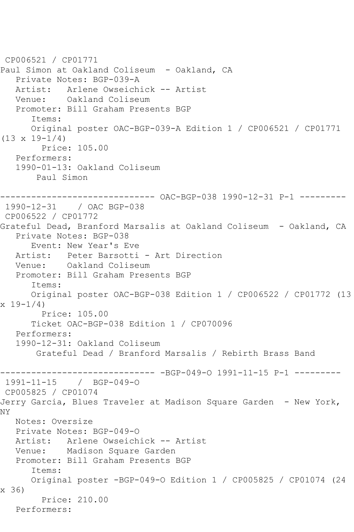```
CP006521 / CP01771
Paul Simon at Oakland Coliseum - Oakland, CA
   Private Notes: BGP-039-A
  Artist: Arlene Owseichick -- Artist<br>Venue: Oakland Coliseum
            Oakland Coliseum
   Promoter: Bill Graham Presents BGP
       Items:
       Original poster OAC-BGP-039-A Edition 1 / CP006521 / CP01771 
(13 \times 19 - 1/4) Price: 105.00
    Performers:
    1990-01-13: Oakland Coliseum
        Paul Simon
      ------------------------------ OAC-BGP-038 1990-12-31 P-1 ---------
1990-12-31 / OAC BGP-038
CP006522 / CP01772
Grateful Dead, Branford Marsalis at Oakland Coliseum - Oakland, CA
   Private Notes: BGP-038
       Event: New Year's Eve
   Artist: Peter Barsotti - Art Direction
   Venue: Oakland Coliseum
   Promoter: Bill Graham Presents BGP
       Items:
       Original poster OAC-BGP-038 Edition 1 / CP006522 / CP01772 (13 
x 19-1/4 Price: 105.00
       Ticket OAC-BGP-038 Edition 1 / CP070096
   Performers:
    1990-12-31: Oakland Coliseum
        Grateful Dead / Branford Marsalis / Rebirth Brass Band
------------------------------ -BGP-049-O 1991-11-15 P-1 ---------
1991-11-15 / BGP-049-O
CP005825 / CP01074
Jerry Garcia, Blues Traveler at Madison Square Garden - New York, 
NY
   Notes: Oversize
  Private Notes: BGP-049-0<br>Artist: Arlene Owseich
             Artist: Arlene Owseichick -- Artist
   Venue: Madison Square Garden
   Promoter: Bill Graham Presents BGP
       Items:
       Original poster -BGP-049-O Edition 1 / CP005825 / CP01074 (24 
x 36)
         Price: 210.00
   Performers:
```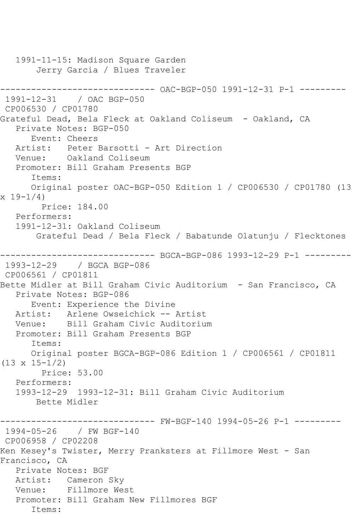1991-11-15: Madison Square Garden Jerry Garcia / Blues Traveler ------------------------------ OAC-BGP-050 1991-12-31 P-1 --------- 1991-12-31 / OAC BGP-050 CP006530 / CP01780 Grateful Dead, Bela Fleck at Oakland Coliseum - Oakland, CA Private Notes: BGP-050 Event: Cheers Artist: Peter Barsotti - Art Direction Venue: Oakland Coliseum Promoter: Bill Graham Presents BGP Items: Original poster OAC-BGP-050 Edition 1 / CP006530 / CP01780 (13 x 19-1/4) Price: 184.00 Performers: 1991-12-31: Oakland Coliseum Grateful Dead / Bela Fleck / Babatunde Olatunju / Flecktones ------------------------------ BGCA-BGP-086 1993-12-29 P-1 --------- 1993-12-29 / BGCA BGP-086 CP006561 / CP01811 Bette Midler at Bill Graham Civic Auditorium - San Francisco, CA Private Notes: BGP-086 Event: Experience the Divine Artist: Arlene Owseichick -- Artist Venue: Bill Graham Civic Auditorium Promoter: Bill Graham Presents BGP Items: Original poster BGCA-BGP-086 Edition 1 / CP006561 / CP01811 (13 x 15-1/2) Price: 53.00 Performers: 1993-12-29 1993-12-31: Bill Graham Civic Auditorium Bette Midler ----- FW-BGF-140 1994-05-26 P-1 ---------1994-05-26 / FW BGF-140 CP006958 / CP02208 Ken Kesey's Twister, Merry Pranksters at Fillmore West - San Francisco, CA Private Notes: BGF Artist: Cameron Sky Venue: Fillmore West Promoter: Bill Graham New Fillmores BGF Items: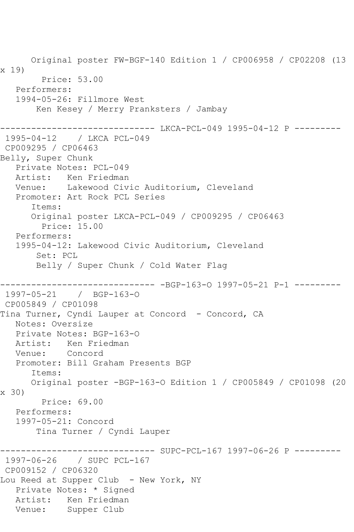Original poster FW-BGF-140 Edition 1 / CP006958 / CP02208 (13 x 19) Price: 53.00 Performers: 1994-05-26: Fillmore West Ken Kesey / Merry Pranksters / Jambay ------------------------------ LKCA-PCL-049 1995-04-12 P --------- 1995-04-12 / LKCA PCL-049 CP009295 / CP06463 Belly, Super Chunk Private Notes: PCL-049 Artist: Ken Friedman Venue: Lakewood Civic Auditorium, Cleveland Promoter: Art Rock PCL Series Items: Original poster LKCA-PCL-049 / CP009295 / CP06463 Price: 15.00 Performers: 1995-04-12: Lakewood Civic Auditorium, Cleveland Set: PCL Belly / Super Chunk / Cold Water Flag ------------------------------ -BGP-163-O 1997-05-21 P-1 --------- 1997-05-21 / BGP-163-O CP005849 / CP01098 Tina Turner, Cyndi Lauper at Concord - Concord, CA Notes: Oversize Private Notes: BGP-163-O Artist: Ken Friedman Venue: Concord Promoter: Bill Graham Presents BGP Items: Original poster -BGP-163-O Edition 1 / CP005849 / CP01098 (20 x 30) Price: 69.00 Performers: 1997-05-21: Concord Tina Turner / Cyndi Lauper ------------ SUPC-PCL-167 1997-06-26 P ---------1997-06-26 / SUPC PCL-167 CP009152 / CP06320 Lou Reed at Supper Club - New York, NY Private Notes: \* Signed Artist: Ken Friedman Venue: Supper Club